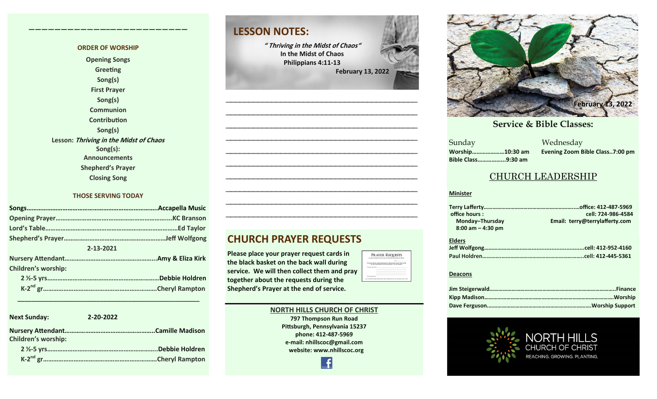#### **ORDER OF WORSHIP Opening Songs Greeting Song(s) First Prayer Song(s) Communion**

**————————————–————————————**

**Contribution Song(s) Lesson: Thriving in the Midst of Chaos Song(s): Announcements Shepherd's Prayer Closing Song**

#### **THOSE SERVING TODAY**

| 2-13-2021                  |                 |
|----------------------------|-----------------|
|                            |                 |
| <b>Children's worship:</b> |                 |
|                            | Debbie Holdren. |
|                            |                 |

 **\_\_\_\_\_\_\_\_\_\_\_\_\_\_\_\_\_\_\_\_\_\_\_\_\_\_\_\_\_\_\_\_\_\_\_\_\_\_\_\_\_\_\_\_\_\_\_\_\_\_\_**

| <b>Next Sunday:</b>        | 2-20-2022 |                |
|----------------------------|-----------|----------------|
| <b>Children's worship:</b> |           |                |
|                            |           |                |
|                            |           | Cheryl Rampton |

### **LESSON NOTES:**

**" Thriving in the Midst of Chaos" In the Midst of Chaos Philippians 4:11-13 February 13, 2022**

**—————————————————————————————————————————— —————————————————————————————————————————— —————————————————————————————————————————— —————————————————————————————————————————— —————————————————————————————————————————— —————————————————————————————————————————— —————————————————————————————————————————— —————————————————————————————————————————— —————————————————————————————————————————— ——————————————————————————————————————————**



**Please place your prayer request cards in the black basket on the back wall during service. We will then collect them and pray together about the requests during the Shepherd's Prayer at the end of service.** 

#### **NORTH HILLS CHURCH OF CHRIST 797 Thompson Run Road Pittsburgh, Pennsylvania 15237 phone: 412-487-5969 e-mail: nhillscoc@gmail.com website: www.nhillscoc.org**

PRAYER REQUESTS 



**September 24, 2017 October 8, 2017 October 15, 2017 October 8, 2017 October 22, 2017 October 29, 2017 November 5, 2017 November 12, 2017 November 26, 2017 December 10, 2017 December 24, 2017 January 7, 2017 January 7, 2017 February 21, 2021**

a Mednesday<br>Sunday Mednesday **Sunday Bible Class……………...9:30 am**

**Worship…………………10:30 am Evening Zoom Bible Class..7:00 pm**

#### CHURCH LEADERSHIP

#### **Minister**

| office hours:        | cell: 724-986-4584             |  |
|----------------------|--------------------------------|--|
| Monday-Thursday      | Email: terry@terrylafferty.com |  |
| $8:00$ am $-4:30$ pm |                                |  |

| <b>Elders</b> |  |
|---------------|--|
|               |  |
|               |  |

#### **Deacons**